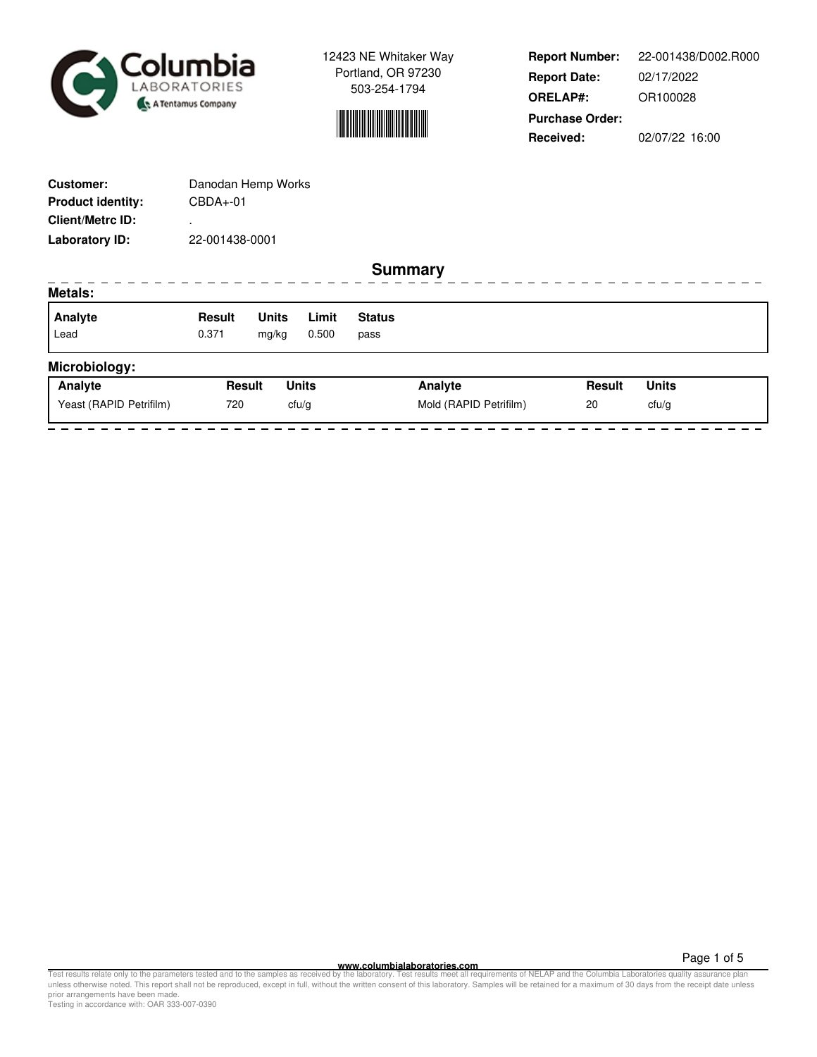



**Report Number: Report Date: ORELAP#:** 02/17/2022 OR100028 **Received:** 02/07/22 16:00 **Purchase Order:** 22-001438/D002.R000

| <b>Customer:</b>         | Danodan Hemp Works |              |              |               |                        |        |              |  |
|--------------------------|--------------------|--------------|--------------|---------------|------------------------|--------|--------------|--|
| <b>Product identity:</b> | $CBDA+-01$         |              |              |               |                        |        |              |  |
| <b>Client/Metrc ID:</b>  | $\mathbf{r}$       |              |              |               |                        |        |              |  |
| Laboratory ID:           | 22-001438-0001     |              |              |               |                        |        |              |  |
|                          |                    |              |              |               | <b>Summary</b>         |        |              |  |
| <b>Metals:</b>           |                    |              |              |               |                        |        |              |  |
| Analyte                  | Result             | <b>Units</b> | Limit        | <b>Status</b> |                        |        |              |  |
| Lead                     | 0.371              | mg/kg        | 0.500        | pass          |                        |        |              |  |
| Microbiology:            |                    |              |              |               |                        |        |              |  |
| Analyte                  | <b>Result</b>      |              | <b>Units</b> |               | Analyte                | Result | <b>Units</b> |  |
| Yeast (RAPID Petrifilm)  | 720                |              | cfu/g        |               | Mold (RAPID Petrifilm) | 20     | ctu/g        |  |
|                          |                    |              |              |               |                        |        |              |  |

**WWW.columbialaboratories.com**<br>unless otherwise noted. This report shall not be reproduced, except in full, without the varitten consent of this laboratory. Test results meet all requirements of NELAP and the Columbia Labo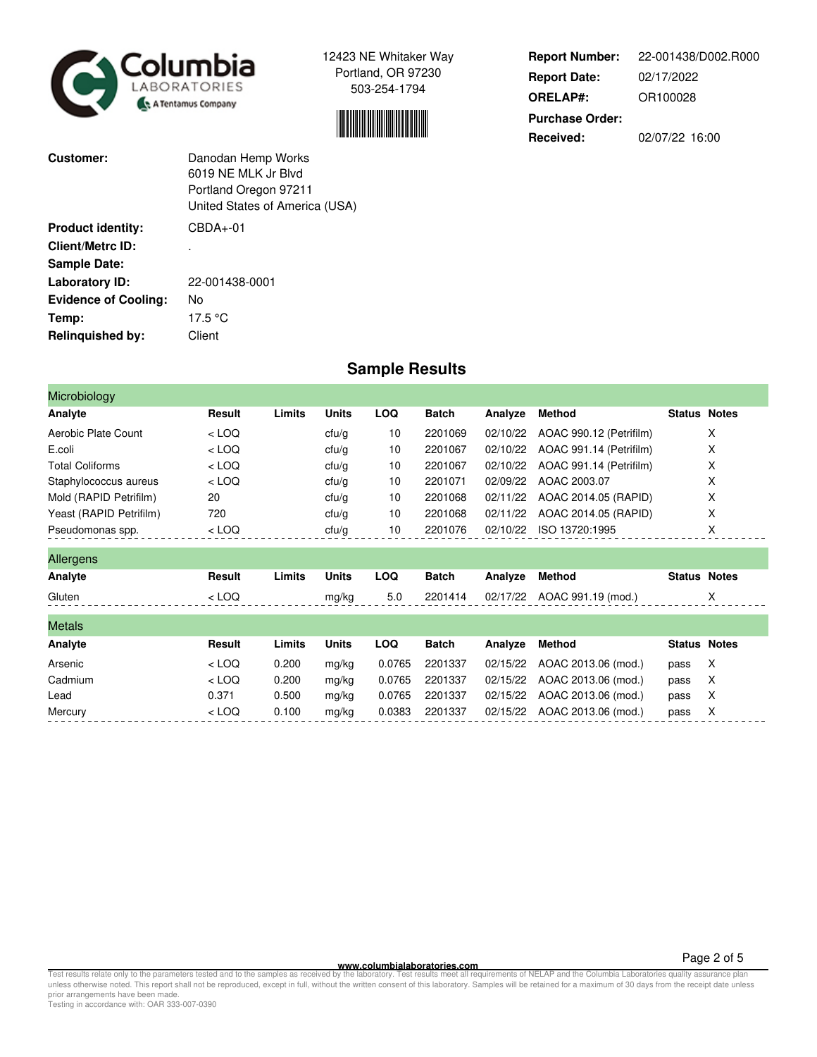



**Report Number: Report Date: ORELAP#:** 02/17/2022 OR100028 **Received:** 02/07/22 16:00 **Purchase Order:** 22-001438/D002.R000

| <b>Customer:</b>            | Danodan Hemp Works<br>6019 NF MLK Jr Blvd<br>Portland Oregon 97211<br>United States of America (USA) |
|-----------------------------|------------------------------------------------------------------------------------------------------|
| <b>Product identity:</b>    | $CBDA+01$                                                                                            |
| <b>Client/Metrc ID:</b>     |                                                                                                      |
| <b>Sample Date:</b>         |                                                                                                      |
| Laboratory ID:              | 22-001438-0001                                                                                       |
| <b>Evidence of Cooling:</b> | No                                                                                                   |
| Temp:                       | 17.5 °C                                                                                              |
| <b>Relinquished by:</b>     | Client                                                                                               |

## **Sample Results**

| Microbiology            |         |        |              |            |              |          |                         |                     |   |
|-------------------------|---------|--------|--------------|------------|--------------|----------|-------------------------|---------------------|---|
| Analyte                 | Result  | Limits | <b>Units</b> | <b>LOQ</b> | <b>Batch</b> | Analyze  | <b>Method</b>           | <b>Status Notes</b> |   |
| Aerobic Plate Count     | $<$ LOQ |        | ctu/g        | 10         | 2201069      | 02/10/22 | AOAC 990.12 (Petrifilm) |                     | X |
| E.coli                  | $<$ LOQ |        | ctu/g        | 10         | 2201067      | 02/10/22 | AOAC 991.14 (Petrifilm) |                     | X |
| <b>Total Coliforms</b>  | $<$ LOQ |        | ctu/g        | 10         | 2201067      | 02/10/22 | AOAC 991.14 (Petrifilm) |                     | X |
| Staphylococcus aureus   | $<$ LOQ |        | ctu/g        | 10         | 2201071      | 02/09/22 | AOAC 2003.07            |                     | X |
| Mold (RAPID Petrifilm)  | 20      |        | ctu/g        | 10         | 2201068      | 02/11/22 | AOAC 2014.05 (RAPID)    |                     | X |
| Yeast (RAPID Petrifilm) | 720     |        | ctu/g        | 10         | 2201068      | 02/11/22 | AOAC 2014.05 (RAPID)    |                     | X |
| Pseudomonas spp.        | $<$ LOQ |        | ctu/g        | 10         | 2201076      | 02/10/22 | ISO 13720:1995          |                     | X |
| Allergens               |         |        |              |            |              |          |                         |                     |   |
| Analyte                 | Result  | Limits | <b>Units</b> | <b>LOQ</b> | <b>Batch</b> | Analyze  | <b>Method</b>           | <b>Status Notes</b> |   |
| Gluten                  | $<$ LOQ |        | mg/kg        | 5.0        | 2201414      | 02/17/22 | AOAC 991.19 (mod.)      |                     | X |
| <b>Metals</b>           |         |        |              |            |              |          |                         |                     |   |
| Analyte                 | Result  | Limits | <b>Units</b> | <b>LOQ</b> | <b>Batch</b> | Analyze  | <b>Method</b>           | <b>Status Notes</b> |   |
| Arsenic                 | $<$ LOQ | 0.200  | mg/kg        | 0.0765     | 2201337      | 02/15/22 | AOAC 2013.06 (mod.)     | pass                | X |
| Cadmium                 | $<$ LOQ | 0.200  | mg/kg        | 0.0765     | 2201337      | 02/15/22 | AOAC 2013.06 (mod.)     | pass                | X |
| Lead                    | 0.371   | 0.500  | mg/kg        | 0.0765     | 2201337      | 02/15/22 | AOAC 2013.06 (mod.)     | pass                | X |
| Mercury                 | $<$ LOQ | 0.100  | mg/kg        | 0.0383     | 2201337      | 02/15/22 | AOAC 2013.06 (mod.)     | pass                | Х |

**WWW.columbialaboratories.com**<br>unless otherwise noted. This report shall not be reproduced, except in full, without the varitten consent of this laboratory. Test results meet all requirements of NELAP and the Columbia Labo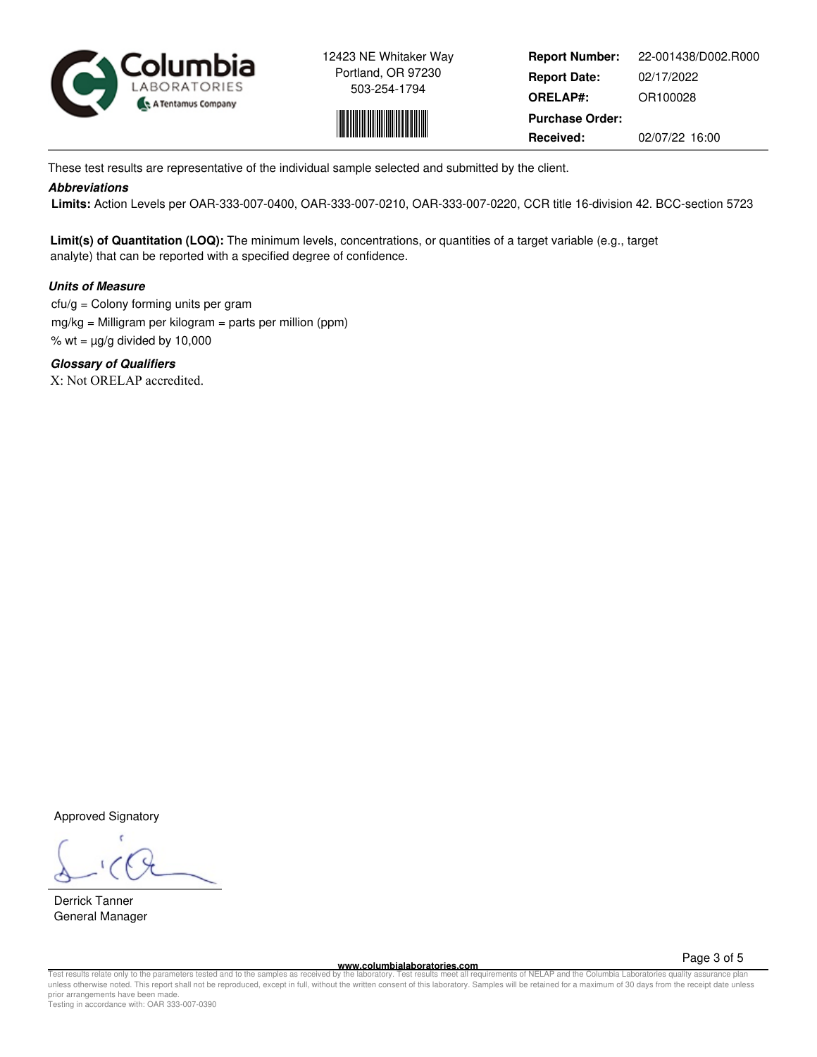



**Report Number: Report Date: ORELAP#:** 02/17/2022 OR100028 **Received:** 02/07/22 16:00 **Purchase Order:** 22-001438/D002.R000

These test results are representative of the individual sample selected and submitted by the client.

## **Abbreviations**

 **Limits:** Action Levels per OAR-333-007-0400, OAR-333-007-0210, OAR-333-007-0220, CCR title 16-division 42. BCC-section 5723

**Limit(s) of Quantitation (LOQ):** The minimum levels, concentrations, or quantities of a target variable (e.g., target analyte) that can be reported with a specified degree of confidence.

## **Units of Measure**

 $ctu/g =$  Colony forming units per gram mg/kg = Milligram per kilogram = parts per million (ppm) % wt =  $\mu$ g/g divided by 10,000

**Glossary of Qualifiers** X: Not ORELAP accredited.

Approved Signatory

Derrick Tanner General Manager

**www.columbialaboratories.com**

Page 3 of 5

Test results relate only to the parameters tested and to the samples as received by the laboratory. Test results meet all requirements of NELAP and the Columbia Laboratories quality assurance plan<br>unless otherwise noted. T prior arrangements have been made. Testing in accordance with: OAR 333-007-0390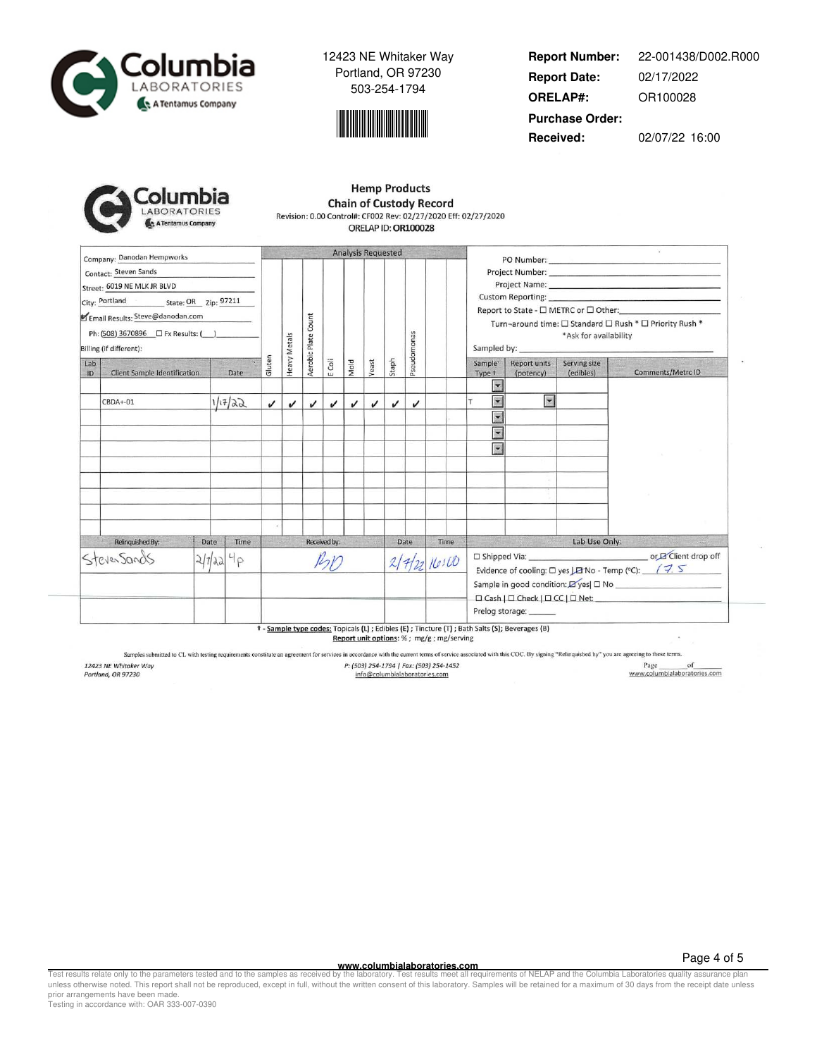



**Report Number: Report Date: ORELAP#:** 02/17/2022 OR100028 **Purchase Order:** 22-001438/D002.R000

**Received:** 02/07/22 16:00

**Hemp Products** Columbia **Chain of Custody Record BORATORIES** Revision: 0.00 Control#: CF002 Rev: 02/27/2020 Eff: 02/27/2020 A Tentamus Company ORELAP ID: OR100028

| Company: Danodan Hempworks                                                                                                                                                                                                                             |  |                               |                     |                        |              |                    |                    | <b>Analysis Requested</b> |                            |      |                               | PO Number: National PO Number:                                                                                                                                          |                                                                                                                             |                   |                                                                                                                              |
|--------------------------------------------------------------------------------------------------------------------------------------------------------------------------------------------------------------------------------------------------------|--|-------------------------------|---------------------|------------------------|--------------|--------------------|--------------------|---------------------------|----------------------------|------|-------------------------------|-------------------------------------------------------------------------------------------------------------------------------------------------------------------------|-----------------------------------------------------------------------------------------------------------------------------|-------------------|------------------------------------------------------------------------------------------------------------------------------|
| Contact: Steven Sands<br>Street: 6019 NE MLK JR BLVD<br>City: Portland State: OR Zip: 97211<br>Email Results: Steve@danodan.com<br>Ph: (508) 3670896 □ Fx Results: ( )<br>Billing (if different):<br>Lab<br>Client Sample Identification<br>Date<br>ID |  |                               | <b>Heavy Metals</b> | Count<br>Aerobic Plate | E Coli       | Mold               |                    |                           | Pseudomonas                |      | Sampled by: Sample By:        | <b>Custom Reporting:</b> Custom Reporting:<br>Report to State - □ METRC or □ Other:<br>Turn¬around time: □ Standard □ Rush * □ Priority Rush *<br>*Ask for availability |                                                                                                                             |                   |                                                                                                                              |
|                                                                                                                                                                                                                                                        |  | Gluten                        |                     |                        |              |                    | Yeast              | Staph                     |                            |      | Sample <sup>-</sup><br>Type + | <b>Report units</b><br>(potency)                                                                                                                                        | Serving size<br>(edibles)                                                                                                   | Comments/Metrc ID |                                                                                                                              |
| CBDA+-01                                                                                                                                                                                                                                               |  | 1/17/22                       | $\checkmark$        | $\checkmark$           | $\checkmark$ | $\boldsymbol{\nu}$ | $\boldsymbol{\nu}$ | $\boldsymbol{\nu}$        | $\boldsymbol{\mathcal{U}}$ | J    |                               | $\overline{\mathbf{r}}$<br>$\overline{\mathbf{z}}$<br>T.<br>$\blacksquare$<br>圜<br>圜                                                                                    | $\overline{\mathbf{z}}$                                                                                                     |                   |                                                                                                                              |
| Relinquished By:<br>StevenSands                                                                                                                                                                                                                        |  | Date<br>Time<br>$2/7$ aa $4p$ |                     |                        |              | Received by:       |                    |                           |                            | Date | Time<br>$2/7/22$ 16:00        |                                                                                                                                                                         | Prelog storage: ______<br>+ Councile from englass Tenisole (L) + Edikles (E) + Tingture (E) + Doth Colte (C)+ Dougenone (D) | Lab Use Only:     | Evidence of cooling: $\Box$ yes $\Box$ No - Temp (°C): $\boxed{7.5}$<br>$\Box$ Cash   $\Box$ Check   $\Box$ CC   $\Box$ Net: |

 $\frac{1}{2}$  Topicals (L); Edibles (E); Tincture (T); Bath Salts (S); Beverages (B)<br>Report unit options: %; mg/g; mg/serving <u>sampie type codes:</u>

Samples submitted to CL with testing requirements constitute an agreement for services in accordance with the current terms of service associated with this COC. By signing "Relinquished by" you are agreeing to these terms. P: (503) 254-1794 | Fax: (503) 254-1452

12423 NE Whitaker Way Portland, OR 97230

info@columbialaboratories.com

**www.columbialaboratories.com**

Page 4 of 5

Test results relate only to the parameters tested and to the samples as received by the laboratory. Test results meet all requirements of NELAP and the Columbia Laboratories quality assurance plan<br>unless otherwise noted. T